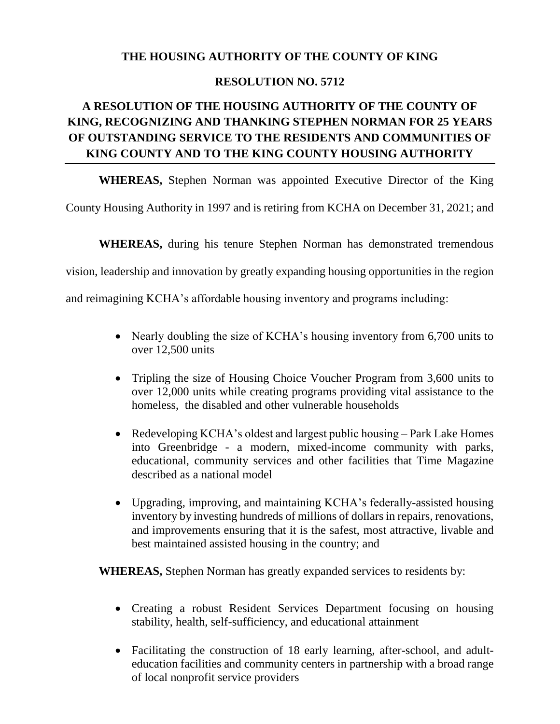## **THE HOUSING AUTHORITY OF THE COUNTY OF KING**

## **RESOLUTION NO. 5712**

## **A RESOLUTION OF THE HOUSING AUTHORITY OF THE COUNTY OF KING, RECOGNIZING AND THANKING STEPHEN NORMAN FOR 25 YEARS OF OUTSTANDING SERVICE TO THE RESIDENTS AND COMMUNITIES OF KING COUNTY AND TO THE KING COUNTY HOUSING AUTHORITY**

**WHEREAS,** Stephen Norman was appointed Executive Director of the King

County Housing Authority in 1997 and is retiring from KCHA on December 31, 2021; and

**WHEREAS,** during his tenure Stephen Norman has demonstrated tremendous

vision, leadership and innovation by greatly expanding housing opportunities in the region

and reimagining KCHA's affordable housing inventory and programs including:

- Nearly doubling the size of KCHA's housing inventory from 6,700 units to over 12,500 units
- Tripling the size of Housing Choice Voucher Program from 3,600 units to over 12,000 units while creating programs providing vital assistance to the homeless, the disabled and other vulnerable households
- Redeveloping KCHA's oldest and largest public housing Park Lake Homes into Greenbridge - a modern, mixed-income community with parks, educational, community services and other facilities that Time Magazine described as a national model
- Upgrading, improving, and maintaining KCHA's federally-assisted housing inventory by investing hundreds of millions of dollars in repairs, renovations, and improvements ensuring that it is the safest, most attractive, livable and best maintained assisted housing in the country; and

**WHEREAS,** Stephen Norman has greatly expanded services to residents by:

- Creating a robust Resident Services Department focusing on housing stability, health, self-sufficiency, and educational attainment
- Facilitating the construction of 18 early learning, after-school, and adulteducation facilities and community centers in partnership with a broad range of local nonprofit service providers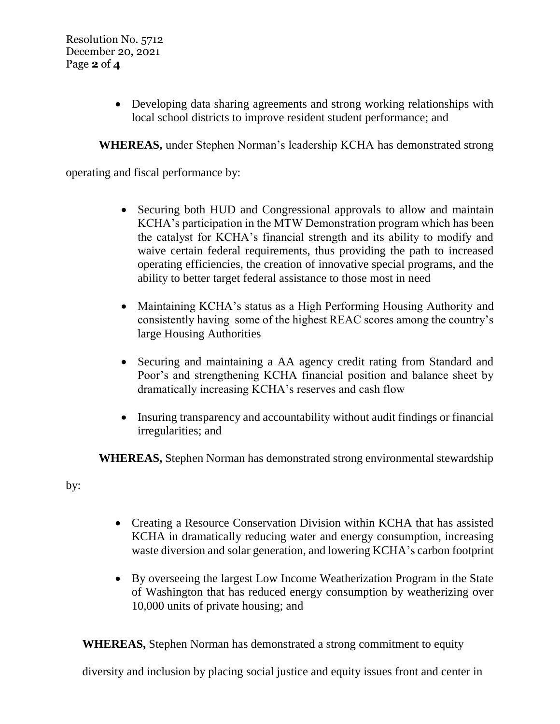Developing data sharing agreements and strong working relationships with local school districts to improve resident student performance; and

**WHEREAS,** under Stephen Norman's leadership KCHA has demonstrated strong

operating and fiscal performance by:

- Securing both HUD and Congressional approvals to allow and maintain KCHA's participation in the MTW Demonstration program which has been the catalyst for KCHA's financial strength and its ability to modify and waive certain federal requirements, thus providing the path to increased operating efficiencies, the creation of innovative special programs, and the ability to better target federal assistance to those most in need
- Maintaining KCHA's status as a High Performing Housing Authority and consistently having some of the highest REAC scores among the country's large Housing Authorities
- Securing and maintaining a AA agency credit rating from Standard and Poor's and strengthening KCHA financial position and balance sheet by dramatically increasing KCHA's reserves and cash flow
- Insuring transparency and accountability without audit findings or financial irregularities; and

**WHEREAS,** Stephen Norman has demonstrated strong environmental stewardship

by:

- Creating a Resource Conservation Division within KCHA that has assisted KCHA in dramatically reducing water and energy consumption, increasing waste diversion and solar generation, and lowering KCHA's carbon footprint
- By overseeing the largest Low Income Weatherization Program in the State of Washington that has reduced energy consumption by weatherizing over 10,000 units of private housing; and

**WHEREAS,** Stephen Norman has demonstrated a strong commitment to equity

diversity and inclusion by placing social justice and equity issues front and center in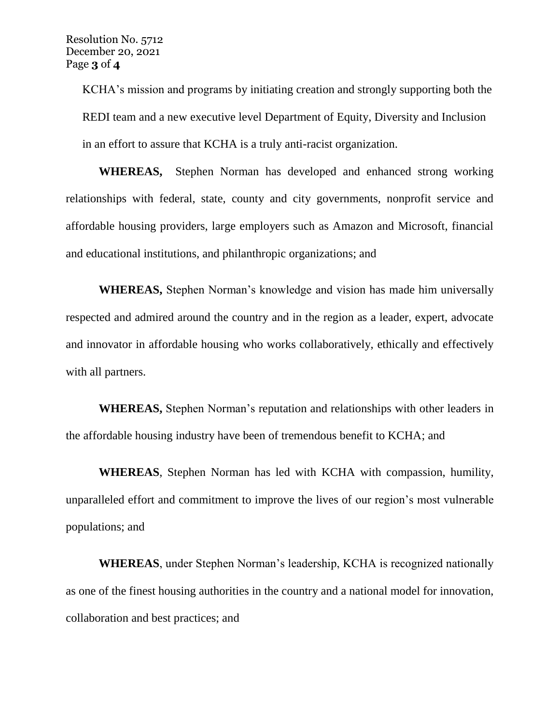KCHA's mission and programs by initiating creation and strongly supporting both the REDI team and a new executive level Department of Equity, Diversity and Inclusion in an effort to assure that KCHA is a truly anti-racist organization.

**WHEREAS,** Stephen Norman has developed and enhanced strong working relationships with federal, state, county and city governments, nonprofit service and affordable housing providers, large employers such as Amazon and Microsoft, financial and educational institutions, and philanthropic organizations; and

**WHEREAS,** Stephen Norman's knowledge and vision has made him universally respected and admired around the country and in the region as a leader, expert, advocate and innovator in affordable housing who works collaboratively, ethically and effectively with all partners.

**WHEREAS,** Stephen Norman's reputation and relationships with other leaders in the affordable housing industry have been of tremendous benefit to KCHA; and

**WHEREAS**, Stephen Norman has led with KCHA with compassion, humility, unparalleled effort and commitment to improve the lives of our region's most vulnerable populations; and

**WHEREAS**, under Stephen Norman's leadership, KCHA is recognized nationally as one of the finest housing authorities in the country and a national model for innovation, collaboration and best practices; and